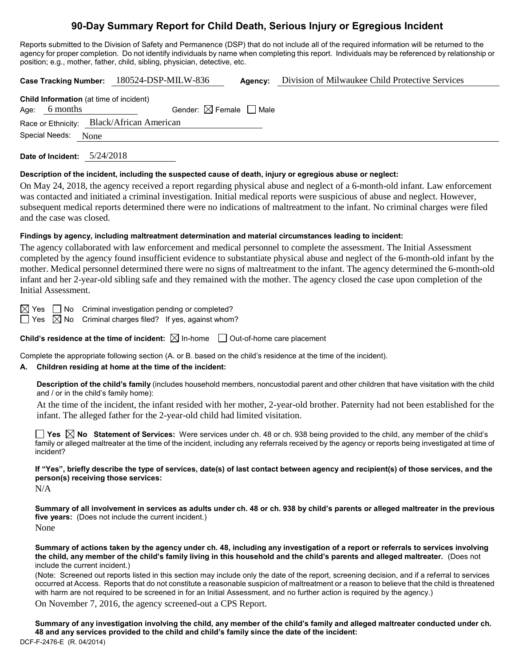## **90-Day Summary Report for Child Death, Serious Injury or Egregious Incident**

Reports submitted to the Division of Safety and Permanence (DSP) that do not include all of the required information will be returned to the agency for proper completion. Do not identify individuals by name when completing this report. Individuals may be referenced by relationship or position; e.g., mother, father, child, sibling, physician, detective, etc.

|                                           |                                                |  | Case Tracking Number: 180524-DSP-MILW-836 |                                        | Agency: | Division of Milwaukee Child Protective Services |  |  |
|-------------------------------------------|------------------------------------------------|--|-------------------------------------------|----------------------------------------|---------|-------------------------------------------------|--|--|
|                                           | <b>Child Information</b> (at time of incident) |  |                                           |                                        |         |                                                 |  |  |
|                                           | Age: $6$ months                                |  |                                           | Gender: $\boxtimes$ Female $\Box$ Male |         |                                                 |  |  |
| Race or Ethnicity: Black/African American |                                                |  |                                           |                                        |         |                                                 |  |  |
| Special Needs:<br>None                    |                                                |  |                                           |                                        |         |                                                 |  |  |
|                                           |                                                |  |                                           |                                        |         |                                                 |  |  |

**Date of Incident:** 5/24/2018

#### **Description of the incident, including the suspected cause of death, injury or egregious abuse or neglect:**

On May 24, 2018, the agency received a report regarding physical abuse and neglect of a 6-month-old infant. Law enforcement was contacted and initiated a criminal investigation. Initial medical reports were suspicious of abuse and neglect. However, subsequent medical reports determined there were no indications of maltreatment to the infant. No criminal charges were filed and the case was closed.

#### **Findings by agency, including maltreatment determination and material circumstances leading to incident:**

The agency collaborated with law enforcement and medical personnel to complete the assessment. The Initial Assessment completed by the agency found insufficient evidence to substantiate physical abuse and neglect of the 6-month-old infant by the mother. Medical personnel determined there were no signs of maltreatment to the infant. The agency determined the 6-month-old infant and her 2-year-old sibling safe and they remained with the mother. The agency closed the case upon completion of the Initial Assessment.

 $\boxtimes$  Yes  $\Box$  No Criminal investigation pending or completed?

 $\Box$  Yes  $\Box$  No  $\,$  Criminal charges filed? If yes, against whom?

**Child's residence at the time of incident:**  $\boxtimes$  In-home  $\Box$  Out-of-home care placement

Complete the appropriate following section (A. or B. based on the child's residence at the time of the incident).

## **A. Children residing at home at the time of the incident:**

**Description of the child's family** (includes household members, noncustodial parent and other children that have visitation with the child and / or in the child's family home):

At the time of the incident, the infant resided with her mother, 2-year-old brother. Paternity had not been established for the infant. The alleged father for the 2-year-old child had limited visitation.

**Yes No Statement of Services:** Were services under ch. 48 or ch. 938 being provided to the child, any member of the child's family or alleged maltreater at the time of the incident, including any referrals received by the agency or reports being investigated at time of incident?

**If "Yes", briefly describe the type of services, date(s) of last contact between agency and recipient(s) of those services, and the person(s) receiving those services:**

 $N/A$ 

**Summary of all involvement in services as adults under ch. 48 or ch. 938 by child's parents or alleged maltreater in the previous five years:** (Does not include the current incident.) None

**Summary of actions taken by the agency under ch. 48, including any investigation of a report or referrals to services involving the child, any member of the child's family living in this household and the child's parents and alleged maltreater.** (Does not include the current incident.)

(Note: Screened out reports listed in this section may include only the date of the report, screening decision, and if a referral to services occurred at Access. Reports that do not constitute a reasonable suspicion of maltreatment or a reason to believe that the child is threatened with harm are not required to be screened in for an Initial Assessment, and no further action is required by the agency.)

On November 7, 2016, the agency screened-out a CPS Report.

DCF-F-2476-E (R. 04/2014) **Summary of any investigation involving the child, any member of the child's family and alleged maltreater conducted under ch. 48 and any services provided to the child and child's family since the date of the incident:**